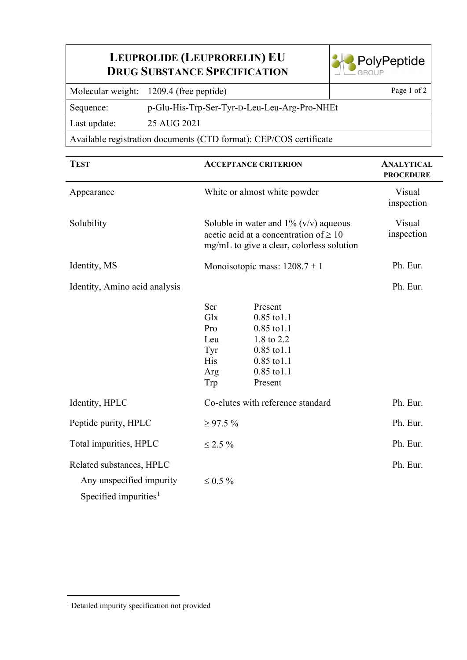## **LEUPROLIDE (LEUPRORELIN) EU DRUG SUBSTANCE SPECIFICATION**



Molecular weight: 1209.4 (free peptide) Page 1 of 2

Sequence: p-Glu-His-Trp-Ser-Tyr-D-Leu-Leu-Arg-Pro-NHEt

Last update: 25 AUG 2021

Available registration documents (CTD format): CEP/COS certificate

| <b>TEST</b>                                                                      | <b>ACCEPTANCE CRITERION</b>                                                                                                                                                            | <b>ANALYTICAL</b><br><b>PROCEDURE</b> |
|----------------------------------------------------------------------------------|----------------------------------------------------------------------------------------------------------------------------------------------------------------------------------------|---------------------------------------|
| Appearance                                                                       | White or almost white powder                                                                                                                                                           | Visual<br>inspection                  |
| Solubility                                                                       | Soluble in water and $1\%$ (v/v) aqueous<br>acetic acid at a concentration of $\geq 10$<br>mg/mL to give a clear, colorless solution                                                   | Visual<br>inspection                  |
| Identity, MS                                                                     | Monoisotopic mass: $1208.7 \pm 1$                                                                                                                                                      | Ph. Eur.                              |
| Identity, Amino acid analysis                                                    |                                                                                                                                                                                        | Ph. Eur.                              |
|                                                                                  | Ser<br>Present<br>Glx<br>0.85 to 1.1<br>Pro<br>$0.85$ to $1.1$<br>1.8 to 2.2<br>Leu<br>Tyr<br>0.85 to 1.1<br><b>His</b><br>$0.85$ to $1.1$<br>$0.85$ to $1.1$<br>Arg<br>Trp<br>Present |                                       |
| Identity, HPLC                                                                   | Co-elutes with reference standard                                                                                                                                                      | Ph. Eur.                              |
| Peptide purity, HPLC                                                             | $\geq 97.5 \%$                                                                                                                                                                         | Ph. Eur.                              |
| Total impurities, HPLC                                                           | $\leq 2.5 \%$                                                                                                                                                                          | Ph. Eur.                              |
| Related substances, HPLC<br>Any unspecified impurity<br>Specified impurities $1$ | $\leq 0.5 \%$                                                                                                                                                                          | Ph. Eur.                              |

<span id="page-0-0"></span><sup>&</sup>lt;sup>1</sup> Detailed impurity specification not provided